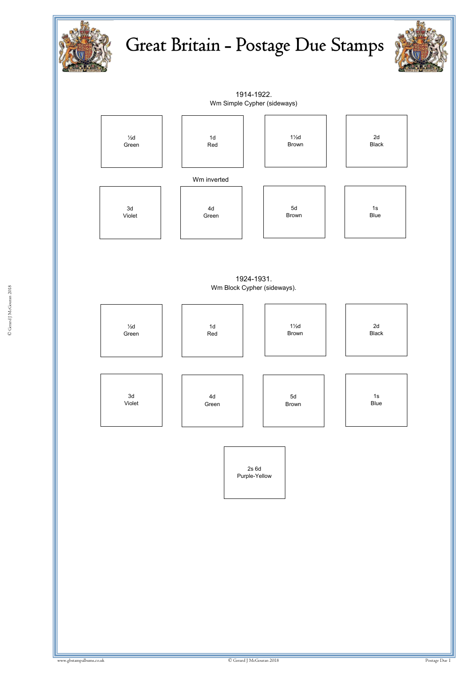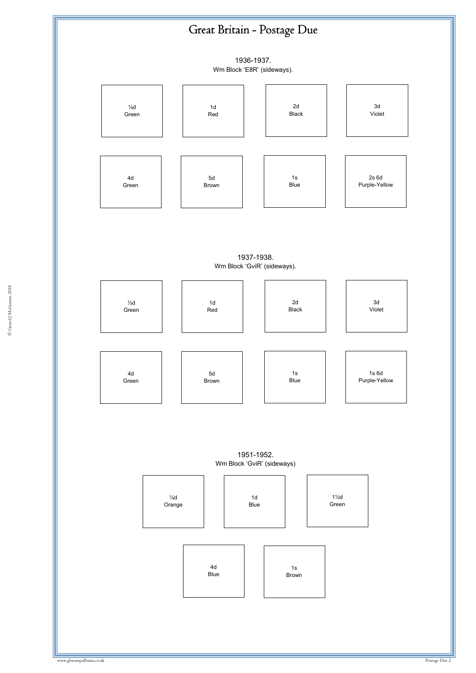## Great Britain - Postage Due

1936-1937.

Wm Block 'E8R' (sideways).



1937-1938. Wm Block 'GviR' (sideways).



1951-1952. Wm Block 'GviR' (sideways)

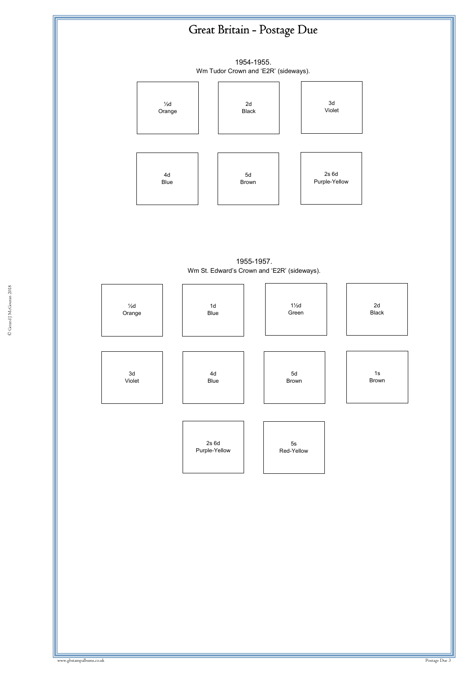## Great Britain - Postage Due

1954-1955. Wm Tudor Crown and 'E2R' (sideways).



<sup>1955</sup>-1957. Wm St. Edward's Crown and 'E2R' (sideways).

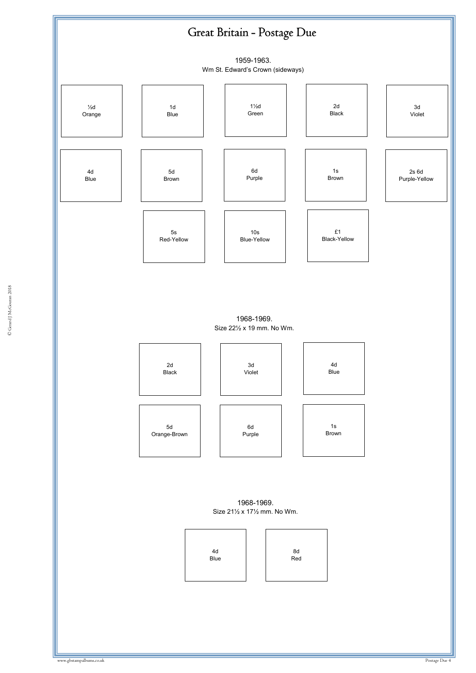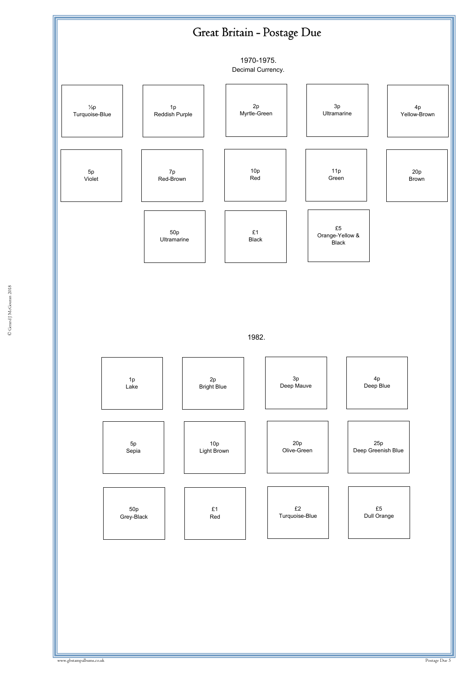